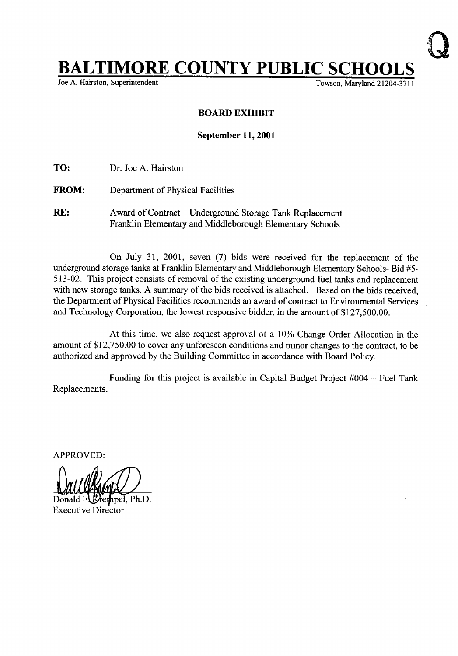## **BALTIMORE COUNTY PUBLIC SCHO**<br>Joe A. Hairston, Superintendent

Towson, Maryland 21204-3711

## BOARD EXHIBIT

## September 11, 2001

TO: Dr. Joe A. Hairston

- FROM: Department of Physical Facilities
- RE: Award of Contract Underground Storage Tank Replacement Franklin Elementary and Middleborough Elementary Schools

On July 31, 2001, seven (7) bids were received for the replacement of the underground storage tanks at Franklin Elementary and Middleborough Elementary Schools- Bid #5- 513-02. This project consists of removal of the existing underground fuel tanks and replacement with new storage tanks. A summary of the bids received is attached. Based on the bids received, the Department of Physical Facilities recommends an award of contract to Environmental Services and Technology Corporation, the lowest responsive bidder, in the amount of \$127,500 .00.

At this time, we also request approval of a 10% Change Order Allocation in the amount of \$12,750.00 to cover any unforeseen conditions and minor changes to the contract, to be authorized and approved by the Building Committee in accordance with Board Policy.

Replacements. Funding for this project is available in Capital Budget Project  $#004$  -- Fuel Tank

APPROVED:

npel. Ph.D. Executive Director